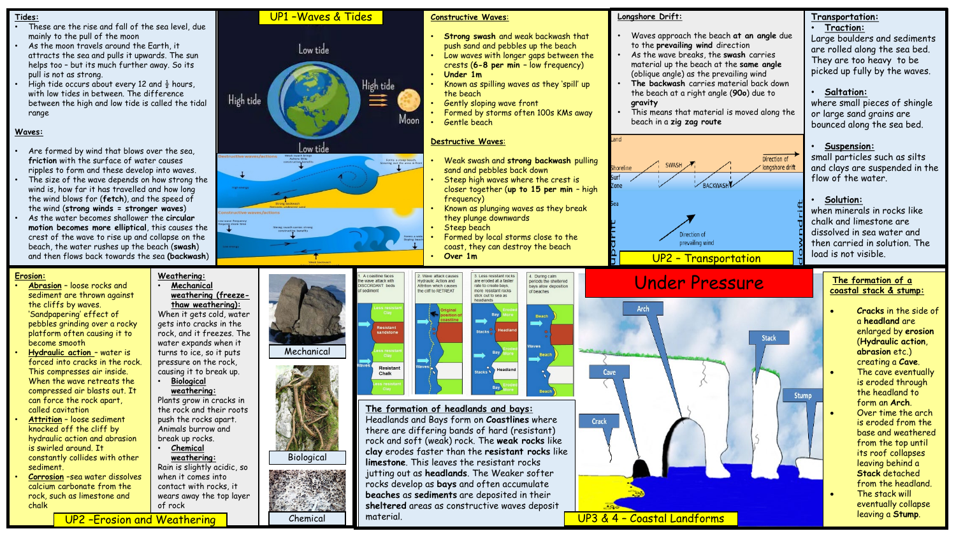